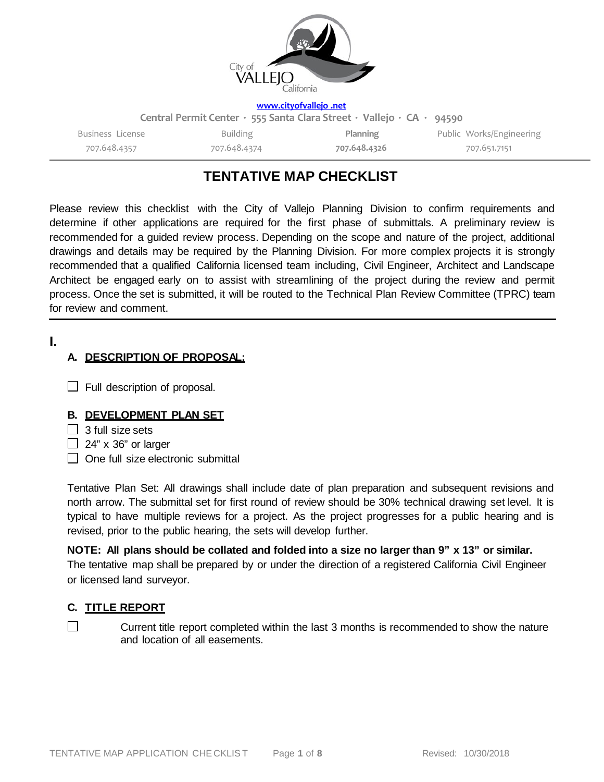

#### **[www.cityofvallejo](http://www.cityofvallejo.net/) .net**

| Central Permit Center · 555 Santa Clara Street · Vallejo · CA · 94590 |              |              |                          |  |  |
|-----------------------------------------------------------------------|--------------|--------------|--------------------------|--|--|
| Business License                                                      | Building     | Planning     | Public Works/Engineering |  |  |
| 707.648.4357                                                          | 707.648.4374 | 707.648.4326 | 707.651.7151             |  |  |

# **TENTATIVE MAP CHECKLIST**

Please review this checklist with the City of Vallejo Planning Division to confirm requirements and determine if other applications are required for the first phase of submittals. A preliminary review is recommended for a guided review process. Depending on the scope and nature of the project, additional drawings and details may be required by the Planning Division. For more complex projects it is strongly recommended that a qualified California licensed team including, Civil Engineer, Architect and Landscape Architect be engaged early on to assist with streamlining of the project during the review and permit process. Once the set is submitted, it will be routed to the Technical Plan Review Committee (TPRC) team for review and comment.

### **I.**

### **A. DESCRIPTION OF PROPOSAL:**

 $\Box$  Full description of proposal.

#### **B. DEVELOPMENT PLAN SET**

- $\Box$  3 full size sets
- $\Box$  24" x 36" or larger
- $\Box$  One full size electronic submittal

Tentative Plan Set: All drawings shall include date of plan preparation and subsequent revisions and north arrow. The submittal set for first round of review should be 30% technical drawing set level. It is typical to have multiple reviews for a project. As the project progresses for a public hearing and is revised, prior to the public hearing, the sets will develop further.

#### NOTE: All plans should be collated and folded into a size no larger than 9" x 13" or similar.

The tentative map shall be prepared by or under the direction of a registered California Civil Engineer or licensed land surveyor.

#### **C. TITLE REPORT**

 $\Box$ 

Current title report completed within the last 3 months is recommended to show the nature and location of all easements.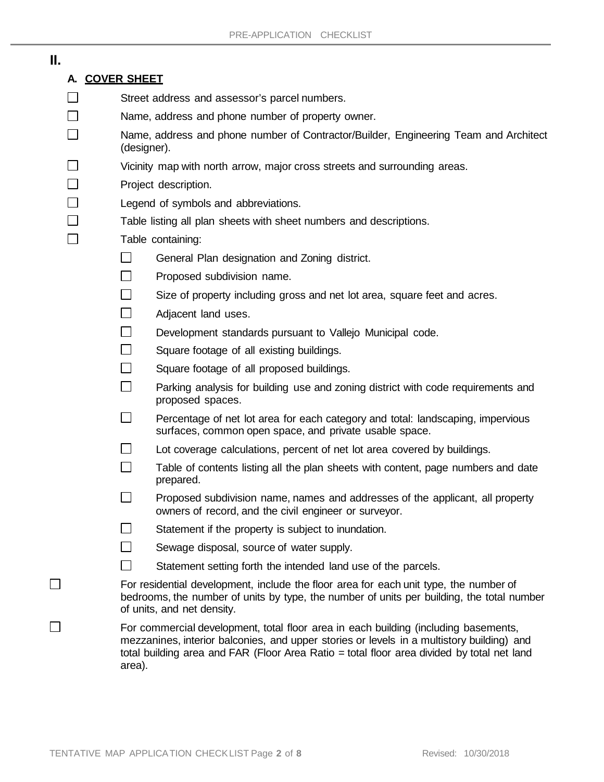## **II.**

П  $\Box$ П  $\Box$ 

П

П

## **A. COVER SHEET**

- $\Box$ Street address and assessor's parcel numbers.
- $\Box$ Name, address and phone number of property owner.
- П Name, address and phone number of Contractor/Builder, Engineering Team and Architect (designer).
- $\Box$ Vicinity map with north arrow, major cross streets and surrounding areas.
	- Project description.
	- Legend of symbols and abbreviations.
		- Table listing all plan sheets with sheet numbers and descriptions.
			- Table containing:
				- $\Box$ General Plan designation and Zoning district.
				- $\Box$ Proposed subdivision name.
				- $\Box$ Size of property including gross and net lot area, square feet and acres.
				- $\Box$ Adjacent land uses.
				- $\Box$ Development standards pursuant to Vallejo Municipal code.
				- $\Box$ Square footage of all existing buildings.
				- $\Box$ Square footage of all proposed buildings.
				- $\Box$ Parking analysis for building use and zoning district with code requirements and proposed spaces.
				- $\Box$ Percentage of net lot area for each category and total: landscaping, impervious surfaces, common open space, and private usable space.
				- $\Box$ Lot coverage calculations, percent of net lot area covered by buildings.
				- $\Box$ Table of contents listing all the plan sheets with content, page numbers and date prepared.
				- $\Box$ Proposed subdivision name, names and addresses of the applicant, all property owners of record, and the civil engineer or surveyor.
				- $\Box$ Statement if the property is subject to inundation.
				- $\Box$ Sewage disposal, source of water supply.
				- $\Box$ Statement setting forth the intended land use of the parcels.
			- For residential development, include the floor area for each unit type, the number of bedrooms, the number of units by type, the number of units per building, the total number of units, and net density.
			- For commercial development, total floor area in each building (including basements, mezzanines, interior balconies, and upper stories or levels in a multistory building) and total building area and FAR (Floor Area Ratio = total floor area divided by total net land area).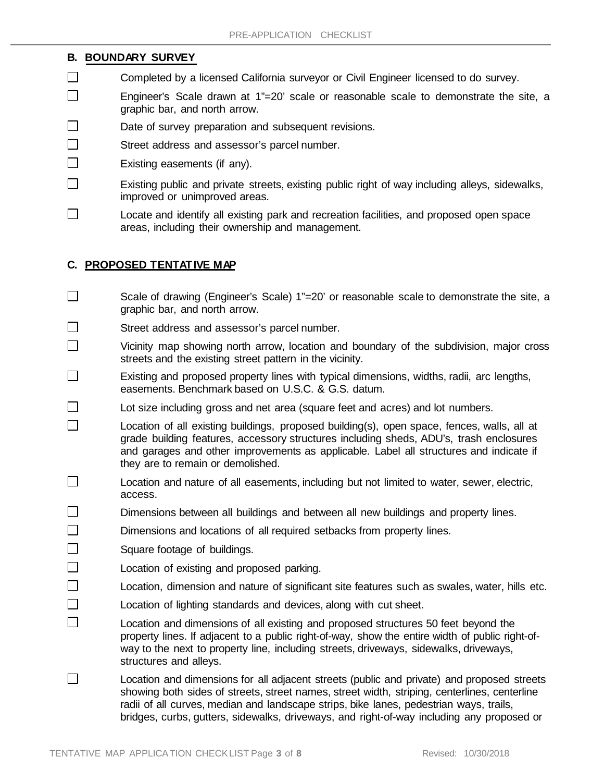#### **B. BOUNDARY SURVEY**

- $\Box$ Completed by a licensed California surveyor or Civil Engineer licensed to do survey.
- П Engineer's Scale drawn at 1"=20' scale or reasonable scale to demonstrate the site, a graphic bar, and north arrow.
- $\Box$ Date of survey preparation and subsequent revisions.
- $\Box$ Street address and assessor's parcel number.
- $\Box$ Existing easements (if any).
- П Existing public and private streets, existing public right of way including alleys, sidewalks, improved or unimproved areas.
- П Locate and identify all existing park and recreation facilities, and proposed open space areas, including their ownership and management.

### **C. PROPOSED TENTATIVE MAP**

- $\Box$ Scale of drawing (Engineer's Scale) 1"=20' or reasonable scale to demonstrate the site, a graphic bar, and north arrow.
- $\Box$ Street address and assessor's parcel number.
- П Vicinity map showing north arrow, location and boundary of the subdivision, major cross streets and the existing street pattern in the vicinity.
- П Existing and proposed property lines with typical dimensions, widths, radii, arc lengths, easements. Benchmark based on U.S.C. & G.S. datum.
- $\Box$ Lot size including gross and net area (square feet and acres) and lot numbers.
- $\Box$ Location of all existing buildings, proposed building(s), open space, fences, walls, all at grade building features, accessory structures including sheds, ADU's, trash enclosures and garages and other improvements as applicable. Label all structures and indicate if they are to remain or demolished.
- П Location and nature of all easements, including but not limited to water, sewer, electric, access.
- $\Box$ Dimensions between all buildings and between all new buildings and property lines.
- П Dimensions and locations of all required setbacks from property lines.
- П Square footage of buildings.
- $\Box$ Location of existing and proposed parking.
- $\Box$ Location, dimension and nature of significant site features such as swales, water, hills etc.
- $\Box$ Location of lighting standards and devices, along with cut sheet.
- П Location and dimensions of all existing and proposed structures 50 feet beyond the property lines. If adjacent to a public right-of-way, show the entire width of public right-ofway to the next to property line, including streets, driveways, sidewalks, driveways, structures and alleys.
- $\Box$ Location and dimensions for all adjacent streets (public and private) and proposed streets showing both sides of streets, street names, street width, striping, centerlines, centerline radii of all curves, median and landscape strips, bike lanes, pedestrian ways, trails, bridges, curbs, gutters, sidewalks, driveways, and right-of-way including any proposed or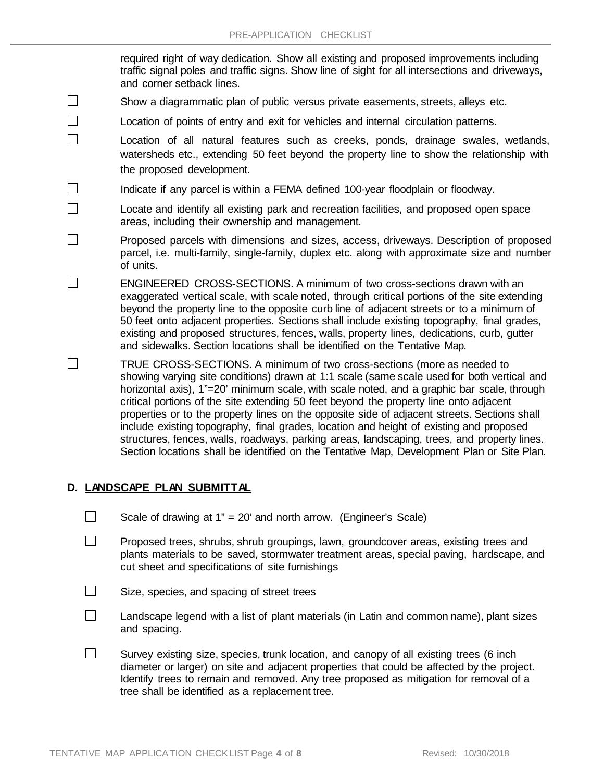required right of way dedication. Show all existing and proposed improvements including traffic signal poles and traffic signs. Show line of sight for all intersections and driveways, and corner setback lines.

- $\Box$ Show a diagrammatic plan of public versus private easements, streets, alleys etc.
- $\Box$ Location of points of entry and exit for vehicles and internal circulation patterns.
- $\Box$ Location of all natural features such as creeks, ponds, drainage swales, wetlands, watersheds etc., extending 50 feet beyond the property line to show the relationship with the proposed development.
- $\Box$ Indicate if any parcel is within a FEMA defined 100-year floodplain or floodway.
	- Locate and identify all existing park and recreation facilities, and proposed open space areas, including their ownership and management.
- $\Box$ Proposed parcels with dimensions and sizes, access, driveways. Description of proposed parcel, i.e. multi-family, single-family, duplex etc. along with approximate size and number of units.
- П ENGINEERED CROSS-SECTIONS. A minimum of two cross-sections drawn with an exaggerated vertical scale, with scale noted, through critical portions of the site extending beyond the property line to the opposite curb line of adjacent streets or to a minimum of 50 feet onto adjacent properties. Sections shall include existing topography, final grades, existing and proposed structures, fences, walls, property lines, dedications, curb, gutter and sidewalks. Section locations shall be identified on the Tentative Map.
- $\Box$ TRUE CROSS-SECTIONS. A minimum of two cross-sections (more as needed to showing varying site conditions) drawn at 1:1 scale (same scale used for both vertical and horizontal axis), 1"=20' minimum scale, with scale noted, and a graphic bar scale, through critical portions of the site extending 50 feet beyond the property line onto adjacent properties or to the property lines on the opposite side of adjacent streets. Sections shall include existing topography, final grades, location and height of existing and proposed structures, fences, walls, roadways, parking areas, landscaping, trees, and property lines. Section locations shall be identified on the Tentative Map, Development Plan or Site Plan.

#### **D. LANDSCAPE PLAN SUBMITTAL**

 $\Box$ 

- $\Box$ Scale of drawing at 1" = 20' and north arrow. (Engineer's Scale)
- $\Box$ Proposed trees, shrubs, shrub groupings, lawn, groundcover areas, existing trees and plants materials to be saved, stormwater treatment areas, special paving, hardscape, and cut sheet and specifications of site furnishings
- $\Box$ Size, species, and spacing of street trees
- $\Box$ Landscape legend with a list of plant materials (in Latin and common name), plant sizes and spacing.
- $\Box$ Survey existing size, species, trunk location, and canopy of all existing trees (6 inch diameter or larger) on site and adjacent properties that could be affected by the project. Identify trees to remain and removed. Any tree proposed as mitigation for removal of a tree shall be identified as a replacement tree.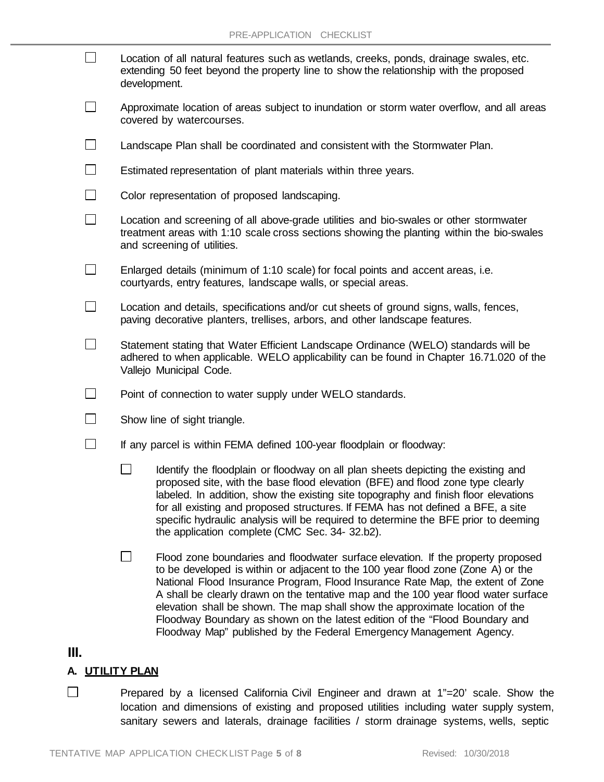| $\Box$       | Location of all natural features such as wetlands, creeks, ponds, drainage swales, etc.<br>extending 50 feet beyond the property line to show the relationship with the proposed<br>development.                   |                                                                                                                                                                                                                                                                                                                                                                                                                                                                                       |  |  |
|--------------|--------------------------------------------------------------------------------------------------------------------------------------------------------------------------------------------------------------------|---------------------------------------------------------------------------------------------------------------------------------------------------------------------------------------------------------------------------------------------------------------------------------------------------------------------------------------------------------------------------------------------------------------------------------------------------------------------------------------|--|--|
| $\mathbf{I}$ | Approximate location of areas subject to inundation or storm water overflow, and all areas<br>covered by watercourses.                                                                                             |                                                                                                                                                                                                                                                                                                                                                                                                                                                                                       |  |  |
|              | Landscape Plan shall be coordinated and consistent with the Stormwater Plan.                                                                                                                                       |                                                                                                                                                                                                                                                                                                                                                                                                                                                                                       |  |  |
|              | Estimated representation of plant materials within three years.                                                                                                                                                    |                                                                                                                                                                                                                                                                                                                                                                                                                                                                                       |  |  |
|              | Color representation of proposed landscaping.                                                                                                                                                                      |                                                                                                                                                                                                                                                                                                                                                                                                                                                                                       |  |  |
|              | Location and screening of all above-grade utilities and bio-swales or other stormwater<br>treatment areas with 1:10 scale cross sections showing the planting within the bio-swales<br>and screening of utilities. |                                                                                                                                                                                                                                                                                                                                                                                                                                                                                       |  |  |
|              | Enlarged details (minimum of 1:10 scale) for focal points and accent areas, i.e.<br>courtyards, entry features, landscape walls, or special areas.                                                                 |                                                                                                                                                                                                                                                                                                                                                                                                                                                                                       |  |  |
|              | Location and details, specifications and/or cut sheets of ground signs, walls, fences,<br>paving decorative planters, trellises, arbors, and other landscape features.                                             |                                                                                                                                                                                                                                                                                                                                                                                                                                                                                       |  |  |
|              | Statement stating that Water Efficient Landscape Ordinance (WELO) standards will be<br>adhered to when applicable. WELO applicability can be found in Chapter 16.71.020 of the<br>Vallejo Municipal Code.          |                                                                                                                                                                                                                                                                                                                                                                                                                                                                                       |  |  |
|              | Point of connection to water supply under WELO standards.                                                                                                                                                          |                                                                                                                                                                                                                                                                                                                                                                                                                                                                                       |  |  |
|              | Show line of sight triangle.                                                                                                                                                                                       |                                                                                                                                                                                                                                                                                                                                                                                                                                                                                       |  |  |
|              | If any parcel is within FEMA defined 100-year floodplain or floodway:                                                                                                                                              |                                                                                                                                                                                                                                                                                                                                                                                                                                                                                       |  |  |
|              |                                                                                                                                                                                                                    | Identify the floodplain or floodway on all plan sheets depicting the existing and<br>proposed site, with the base flood elevation (BFE) and flood zone type clearly<br>labeled. In addition, show the existing site topography and finish floor elevations<br>for all existing and proposed structures. If FEMA has not defined a BFE, a site<br>specific hydraulic analysis will be required to determine the BFE prior to deeming<br>the application complete (CMC Sec. 34- 32.b2). |  |  |
|              |                                                                                                                                                                                                                    | Flood zone boundaries and floodwater surface elevation. If the property proposed<br>to be developed is within or adjacent to the 100 year flood zone (Zone A) or the<br>National Flood Insurance Program, Flood Insurance Rate Map, the extent of Zone<br>A shall be clearly drawn on the tentative map and the 100 year flood water surface                                                                                                                                          |  |  |

### **III.**

#### **A. UTILITY PLAN**

 $\Box$ Prepared by a licensed California Civil Engineer and drawn at 1"=20' scale. Show the location and dimensions of existing and proposed utilities including water supply system, sanitary sewers and laterals, drainage facilities / storm drainage systems, wells, septic

elevation shall be shown. The map shall show the approximate location of the Floodway Boundary as shown on the latest edition of the "Flood Boundary and Floodway Map" published by the Federal Emergency Management Agency.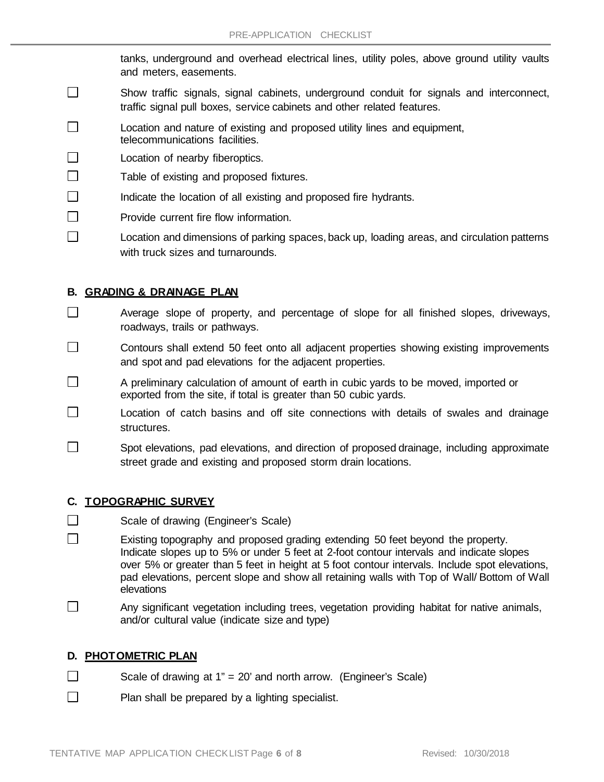tanks, underground and overhead electrical lines, utility poles, above ground utility vaults and meters, easements.

- $\Box$ Show traffic signals, signal cabinets, underground conduit for signals and interconnect, traffic signal pull boxes, service cabinets and other related features.
- П Location and nature of existing and proposed utility lines and equipment, telecommunications facilities.
- П Location of nearby fiberoptics.
- $\Box$ Table of existing and proposed fixtures.
- П Indicate the location of all existing and proposed fire hydrants.
- П Provide current fire flow information.
- П Location and dimensions of parking spaces, back up, loading areas, and circulation patterns with truck sizes and turnarounds.

### **B. GRADING & DRAINAGE PLAN**

- $\Box$ Average slope of property, and percentage of slope for all finished slopes, driveways, roadways, trails or pathways.
- П Contours shall extend 50 feet onto all adjacent properties showing existing improvements and spot and pad elevations for the adjacent properties.
- П A preliminary calculation of amount of earth in cubic yards to be moved, imported or exported from the site, if total is greater than 50 cubic yards.
- П Location of catch basins and off site connections with details of swales and drainage structures.
- П Spot elevations, pad elevations, and direction of proposed drainage, including approximate street grade and existing and proposed storm drain locations.

#### **C. TOPOGRAPHIC SURVEY**

- $\Box$ Scale of drawing (Engineer's Scale)
- $\Box$ Existing topography and proposed grading extending 50 feet beyond the property. Indicate slopes up to 5% or under 5 feet at 2-foot contour intervals and indicate slopes over 5% or greater than 5 feet in height at 5 foot contour intervals. Include spot elevations, pad elevations, percent slope and show all retaining walls with Top of Wall/ Bottom of Wall elevations
- П Any significant vegetation including trees, vegetation providing habitat for native animals, and/or cultural value (indicate size and type)

## **D. PHOTOMETRIC PLAN**

- $\Box$ Scale of drawing at 1" = 20' and north arrow. (Engineer's Scale)
- П Plan shall be prepared by a lighting specialist.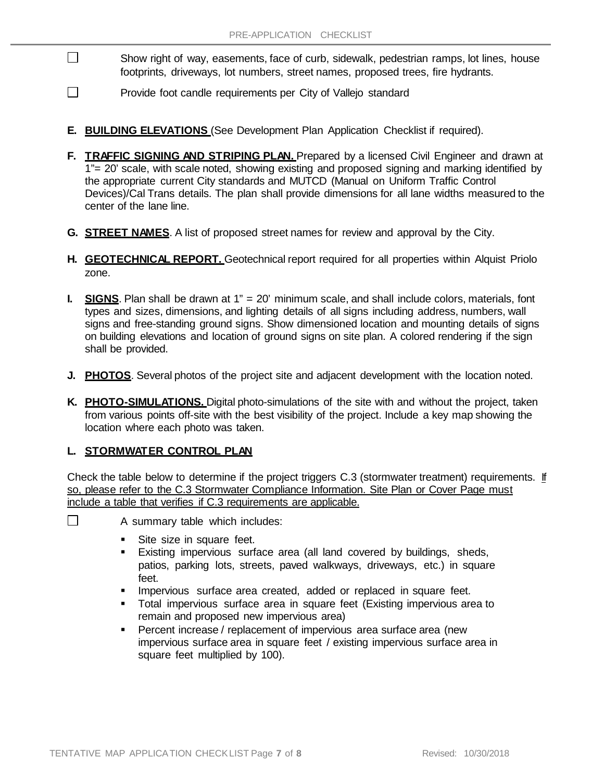- Show right of way, easements, face of curb, sidewalk, pedestrian ramps, lot lines, house footprints, driveways, lot numbers, street names, proposed trees, fire hydrants.
- $\Box$ Provide foot candle requirements per City of Vallejo standard
- **E. BUILDING ELEVATIONS** (See Development Plan Application Checklist if required).
- **F. TRAFFIC SIGNING AND STRIPING PLAN.** Prepared by a licensed Civil Engineer and drawn at 1"= 20' scale, with scale noted, showing existing and proposed signing and marking identified by the appropriate current City standards and MUTCD (Manual on Uniform Traffic Control Devices)/Cal Trans details. The plan shall provide dimensions for all lane widths measured to the center of the lane line.
- **G. STREET NAMES**. A list of proposed street names for review and approval by the City.
- **H. GEOTECHNICAL REPORT.** Geotechnical report required for all properties within Alquist Priolo zone.
- **I. SIGNS**. Plan shall be drawn at 1" = 20' minimum scale, and shall include colors, materials, font types and sizes, dimensions, and lighting details of all signs including address, numbers, wall signs and free-standing ground signs. Show dimensioned location and mounting details of signs on building elevations and location of ground signs on site plan. A colored rendering if the sign shall be provided.
- **J. PHOTOS**. Several photos of the project site and adjacent development with the location noted.
- **K. PHOTO-SIMULATIONS.** Digital photo-simulations of the site with and without the project, taken from various points off-site with the best visibility of the project. Include a key map showing the location where each photo was taken.

#### **L. STORMWATER CONTROL PLAN**

П

Check the table below to determine if the project triggers C.3 (stormwater treatment) requirements. If so, please refer to the C.3 Stormwater Compliance Information. Site Plan or Cover Page must include a table that verifies if C.3 requirements are applicable.

- $\Box$ A summary table which includes:
	- Site size in square feet.
	- Existing impervious surface area (all land covered by buildings, sheds, patios, parking lots, streets, paved walkways, driveways, etc.) in square feet.
	- **IMPERIOUS** surface area created, added or replaced in square feet.
	- Total impervious surface area in square feet (Existing impervious area to remain and proposed new impervious area)
	- **Percent increase / replacement of impervious area surface area (new** impervious surface area in square feet / existing impervious surface area in square feet multiplied by 100).